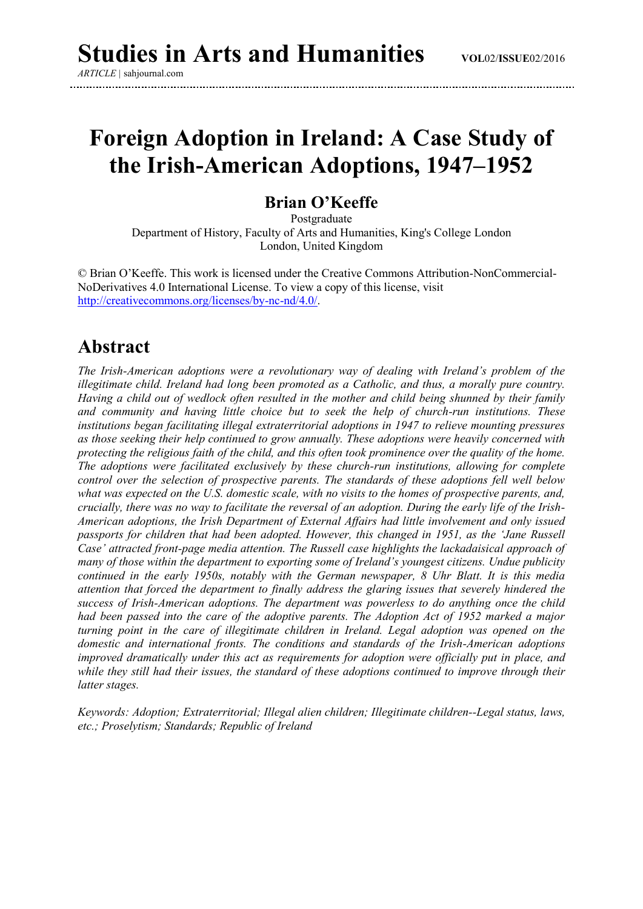*ARTICLE |* sahjournal.com

# **Foreign Adoption in Ireland: A Case Study of the Irish-American Adoptions, 1947–1952**

#### **Brian O'Keeffe**

Postgraduate Department of History, Faculty of Arts and Humanities, King's College London London, United Kingdom

© Brian O'Keeffe. This work is licensed under the Creative Commons Attribution-NonCommercial-NoDerivatives 4.0 International License. To view a copy of this license, visit [http://creativecommons.org/licenses/by-nc-nd/4.0/.](http://creativecommons.org/licenses/by-nc-nd/4.0/)

#### **Abstract**

*The Irish-American adoptions were a revolutionary way of dealing with Ireland's problem of the illegitimate child. Ireland had long been promoted as a Catholic, and thus, a morally pure country. Having a child out of wedlock often resulted in the mother and child being shunned by their family and community and having little choice but to seek the help of church-run institutions. These institutions began facilitating illegal extraterritorial adoptions in 1947 to relieve mounting pressures as those seeking their help continued to grow annually. These adoptions were heavily concerned with protecting the religious faith of the child, and this often took prominence over the quality of the home. The adoptions were facilitated exclusively by these church-run institutions, allowing for complete control over the selection of prospective parents. The standards of these adoptions fell well below what was expected on the U.S. domestic scale, with no visits to the homes of prospective parents, and, crucially, there was no way to facilitate the reversal of an adoption. During the early life of the Irish-American adoptions, the Irish Department of External Affairs had little involvement and only issued passports for children that had been adopted. However, this changed in 1951, as the 'Jane Russell Case' attracted front-page media attention. The Russell case highlights the lackadaisical approach of many of those within the department to exporting some of Ireland's youngest citizens. Undue publicity continued in the early 1950s, notably with the German newspaper, 8 Uhr Blatt. It is this media attention that forced the department to finally address the glaring issues that severely hindered the success of Irish-American adoptions. The department was powerless to do anything once the child had been passed into the care of the adoptive parents. The Adoption Act of 1952 marked a major turning point in the care of illegitimate children in Ireland. Legal adoption was opened on the domestic and international fronts. The conditions and standards of the Irish-American adoptions improved dramatically under this act as requirements for adoption were officially put in place, and while they still had their issues, the standard of these adoptions continued to improve through their latter stages.*

*Keywords: Adoption; Extraterritorial; Illegal alien children; Illegitimate children--Legal status, laws, etc.; Proselytism; Standards; Republic of Ireland*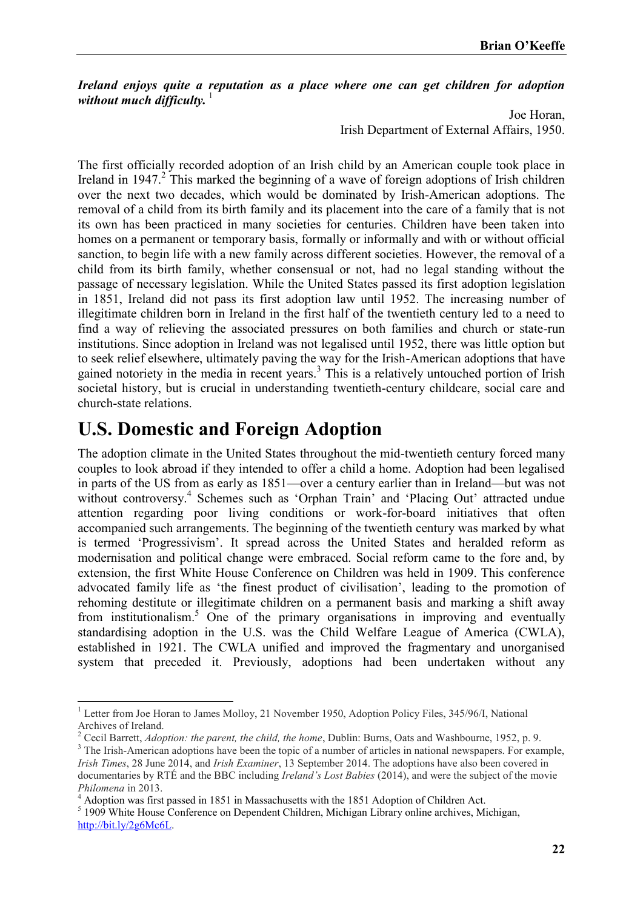*Ireland enjoys quite a reputation as a place where one can get children for adoption*  without much difficulty.

> Joe Horan, Irish Department of External Affairs, 1950.

The first officially recorded adoption of an Irish child by an American couple took place in Ireland in 1947.<sup>2</sup> This marked the beginning of a wave of foreign adoptions of Irish children over the next two decades, which would be dominated by Irish-American adoptions. The removal of a child from its birth family and its placement into the care of a family that is not its own has been practiced in many societies for centuries. Children have been taken into homes on a permanent or temporary basis, formally or informally and with or without official sanction, to begin life with a new family across different societies. However, the removal of a child from its birth family, whether consensual or not, had no legal standing without the passage of necessary legislation. While the United States passed its first adoption legislation in 1851, Ireland did not pass its first adoption law until 1952. The increasing number of illegitimate children born in Ireland in the first half of the twentieth century led to a need to find a way of relieving the associated pressures on both families and church or state-run institutions. Since adoption in Ireland was not legalised until 1952, there was little option but to seek relief elsewhere, ultimately paving the way for the Irish-American adoptions that have gained notoriety in the media in recent years.<sup>3</sup> This is a relatively untouched portion of Irish societal history, but is crucial in understanding twentieth-century childcare, social care and church-state relations.

### **U.S. Domestic and Foreign Adoption**

**.** 

The adoption climate in the United States throughout the mid-twentieth century forced many couples to look abroad if they intended to offer a child a home. Adoption had been legalised in parts of the US from as early as 1851—over a century earlier than in Ireland—but was not without controversy.<sup>4</sup> Schemes such as 'Orphan Train' and 'Placing Out' attracted undue attention regarding poor living conditions or work-for-board initiatives that often accompanied such arrangements. The beginning of the twentieth century was marked by what is termed 'Progressivism'. It spread across the United States and heralded reform as modernisation and political change were embraced. Social reform came to the fore and, by extension, the first White House Conference on Children was held in 1909. This conference advocated family life as 'the finest product of civilisation', leading to the promotion of rehoming destitute or illegitimate children on a permanent basis and marking a shift away from institutionalism.<sup>5</sup> One of the primary organisations in improving and eventually standardising adoption in the U.S. was the Child Welfare League of America (CWLA), established in 1921. The CWLA unified and improved the fragmentary and unorganised system that preceded it. Previously, adoptions had been undertaken without any

<sup>&</sup>lt;sup>1</sup> Letter from Joe Horan to James Molloy, 21 November 1950, Adoption Policy Files, 345/96/I, National Archives of Ireland.

<sup>2</sup> Cecil Barrett, *Adoption: the parent, the child, the home*, Dublin: Burns, Oats and Washbourne, 1952, p. 9.

<sup>&</sup>lt;sup>3</sup> The Irish-American adoptions have been the topic of a number of articles in national newspapers. For example, *Irish Times*, 28 June 2014, and *Irish Examiner*, 13 September 2014. The adoptions have also been covered in documentaries by RTÉ and the BBC including *Ireland's Lost Babies* (2014), and were the subject of the movie *Philomena* in 2013.

<sup>4</sup> Adoption was first passed in 1851 in Massachusetts with the 1851 Adoption of Children Act.

<sup>&</sup>lt;sup>5</sup> 1909 White House Conference on Dependent Children, Michigan Library online archives, Michigan, [http://bit.ly/2g6Mc6L.](http://bit.ly/2g6Mc6L)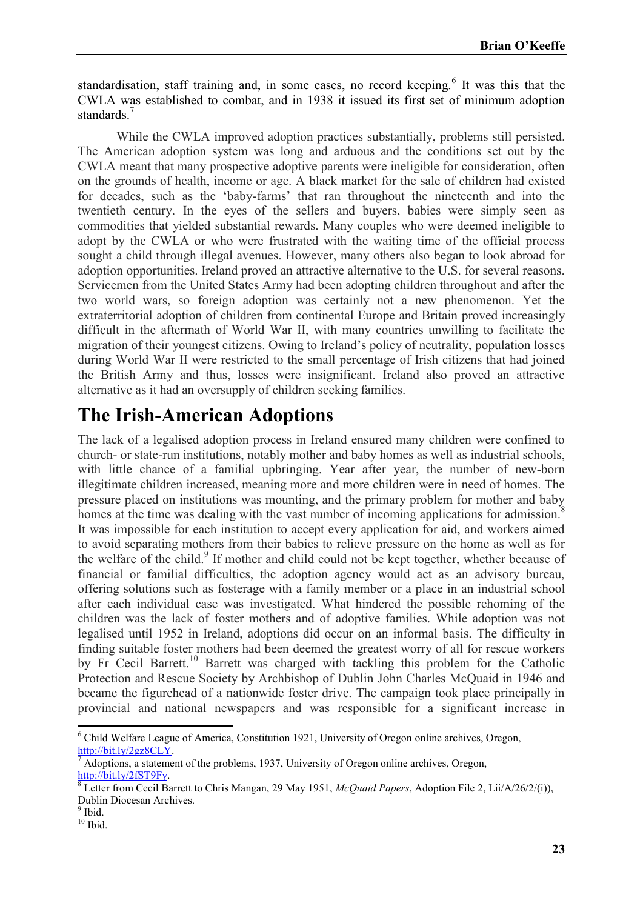standardisation, staff training and, in some cases, no record keeping. $6$  It was this that the CWLA was established to combat, and in 1938 it issued its first set of minimum adoption standards<sup>7</sup>

While the CWLA improved adoption practices substantially, problems still persisted. The American adoption system was long and arduous and the conditions set out by the CWLA meant that many prospective adoptive parents were ineligible for consideration, often on the grounds of health, income or age. A black market for the sale of children had existed for decades, such as the 'baby-farms' that ran throughout the nineteenth and into the twentieth century. In the eyes of the sellers and buyers, babies were simply seen as commodities that yielded substantial rewards. Many couples who were deemed ineligible to adopt by the CWLA or who were frustrated with the waiting time of the official process sought a child through illegal avenues. However, many others also began to look abroad for adoption opportunities. Ireland proved an attractive alternative to the U.S. for several reasons. Servicemen from the United States Army had been adopting children throughout and after the two world wars, so foreign adoption was certainly not a new phenomenon. Yet the extraterritorial adoption of children from continental Europe and Britain proved increasingly difficult in the aftermath of World War II, with many countries unwilling to facilitate the migration of their youngest citizens. Owing to Ireland's policy of neutrality, population losses during World War II were restricted to the small percentage of Irish citizens that had joined the British Army and thus, losses were insignificant. Ireland also proved an attractive alternative as it had an oversupply of children seeking families.

## **The Irish-American Adoptions**

The lack of a legalised adoption process in Ireland ensured many children were confined to church- or state-run institutions, notably mother and baby homes as well as industrial schools, with little chance of a familial upbringing. Year after year, the number of new-born illegitimate children increased, meaning more and more children were in need of homes. The pressure placed on institutions was mounting, and the primary problem for mother and baby homes at the time was dealing with the vast number of incoming applications for admission.<sup>8</sup> It was impossible for each institution to accept every application for aid, and workers aimed to avoid separating mothers from their babies to relieve pressure on the home as well as for the welfare of the child.<sup>9</sup> If mother and child could not be kept together, whether because of financial or familial difficulties, the adoption agency would act as an advisory bureau, offering solutions such as fosterage with a family member or a place in an industrial school after each individual case was investigated. What hindered the possible rehoming of the children was the lack of foster mothers and of adoptive families. While adoption was not legalised until 1952 in Ireland, adoptions did occur on an informal basis. The difficulty in finding suitable foster mothers had been deemed the greatest worry of all for rescue workers by Fr Cecil Barrett.<sup>10</sup> Barrett was charged with tackling this problem for the Catholic Protection and Rescue Society by Archbishop of Dublin John Charles McQuaid in 1946 and became the figurehead of a nationwide foster drive. The campaign took place principally in provincial and national newspapers and was responsible for a significant increase in

**<sup>.</sup>** <sup>6</sup> Child Welfare League of America, Constitution 1921, University of Oregon online archives, Oregon, [http://bit.ly/2gz8CLY.](http://bit.ly/2gz8CLY)

Adoptions, a statement of the problems, 1937, University of Oregon online archives, Oregon, [http://bit.ly/2fST9Fy.](http://bit.ly/2fST9Fy)

<sup>&</sup>lt;sup>8</sup> Letter from Cecil Barrett to Chris Mangan, 29 May 1951, *McQuaid Papers*, Adoption File 2, Lii/A/26/2/(i)), Dublin Diocesan Archives.

<sup>&</sup>lt;sup>9</sup> Ibid.

 $10$  Ibid.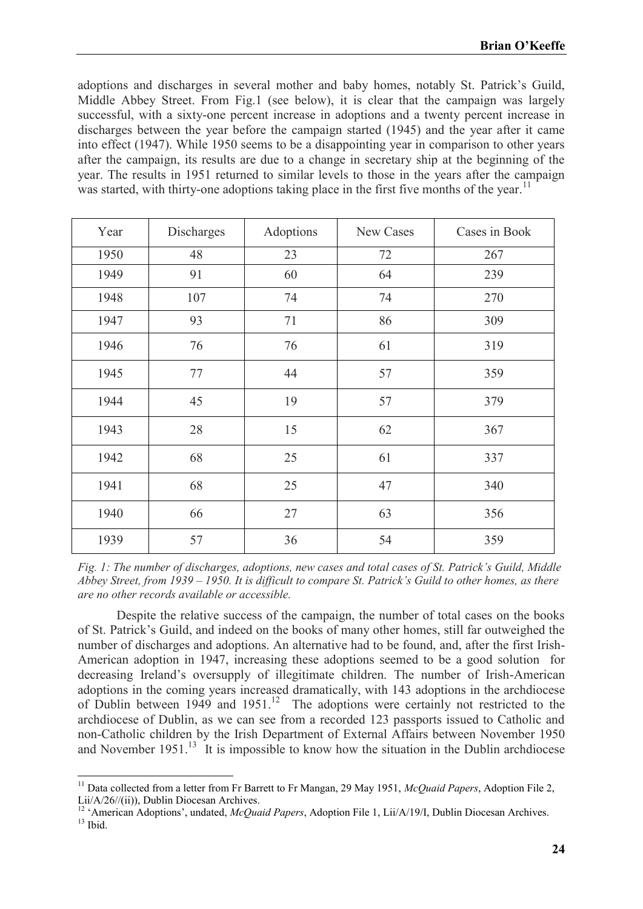adoptions and discharges in several mother and baby homes, notably St. Patrick's Guild, Middle Abbey Street. From Fig.1 (see below), it is clear that the campaign was largely successful, with a sixty-one percent increase in adoptions and a twenty percent increase in discharges between the year before the campaign started (1945) and the year after it came into effect (1947). While 1950 seems to be a disappointing year in comparison to other years after the campaign, its results are due to a change in secretary ship at the beginning of the year. The results in 1951 returned to similar levels to those in the years after the campaign was started, with thirty-one adoptions taking place in the first five months of the year.<sup>11</sup>

| Year | Discharges | Adoptions | New Cases | Cases in Book |
|------|------------|-----------|-----------|---------------|
| 1950 | 48         | 23        | 72        | 267           |
| 1949 | 91         | 60        | 64        | 239           |
| 1948 | 107        | 74        | 74        | 270           |
| 1947 | 93         | 71        | 86        | 309           |
| 1946 | 76         | 76        | 61        | 319           |
| 1945 | 77         | 44        | 57        | 359           |
| 1944 | 45         | 19        | 57        | 379           |
| 1943 | 28         | 15        | 62        | 367           |
| 1942 | 68         | 25        | 61        | 337           |
| 1941 | 68         | 25        | 47        | 340           |
| 1940 | 66         | 27        | 63        | 356           |
| 1939 | 57         | 36        | 54        | 359           |

*Fig. 1: The number of discharges, adoptions, new cases and total cases of St. Patrick's Guild, Middle Abbey Street, from 1939 – 1950. It is difficult to compare St. Patrick's Guild to other homes, as there are no other records available or accessible.*

Despite the relative success of the campaign, the number of total cases on the books of St. Patrick's Guild, and indeed on the books of many other homes, still far outweighed the number of discharges and adoptions. An alternative had to be found, and, after the first Irish-American adoption in 1947, increasing these adoptions seemed to be a good solution for decreasing Ireland's oversupply of illegitimate children. The number of Irish-American adoptions in the coming years increased dramatically, with 143 adoptions in the archdiocese of Dublin between  $1949$  and  $1951$ .<sup>12</sup> The adoptions were certainly not restricted to the archdiocese of Dublin, as we can see from a recorded 123 passports issued to Catholic and non-Catholic children by the Irish Department of External Affairs between November 1950 and November  $1951$ .<sup>13</sup> It is impossible to know how the situation in the Dublin archdiocese

**.** 

<sup>&</sup>lt;sup>11</sup> Data collected from a letter from Fr Barrett to Fr Mangan, 29 May 1951, *McQuaid Papers*, Adoption File 2, Lii/A/26//(ii)), Dublin Diocesan Archives.

<sup>&</sup>lt;sup>12</sup> 'American Adoptions', undated, *McQuaid Papers*, Adoption File 1, Lii/A/19/I, Dublin Diocesan Archives.

 $13$  Ibid.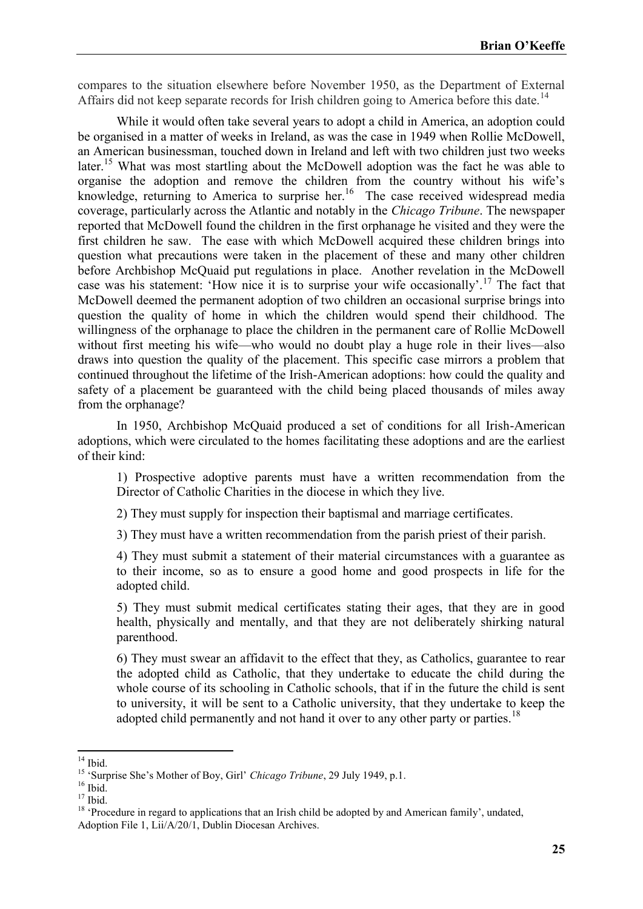compares to the situation elsewhere before November 1950, as the Department of External Affairs did not keep separate records for Irish children going to America before this date.<sup>14</sup>

While it would often take several years to adopt a child in America, an adoption could be organised in a matter of weeks in Ireland, as was the case in 1949 when Rollie McDowell, an American businessman, touched down in Ireland and left with two children just two weeks later.<sup>15</sup> What was most startling about the McDowell adoption was the fact he was able to organise the adoption and remove the children from the country without his wife's knowledge, returning to America to surprise her.<sup>16</sup> The case received widespread media coverage, particularly across the Atlantic and notably in the *Chicago Tribune*. The newspaper reported that McDowell found the children in the first orphanage he visited and they were the first children he saw. The ease with which McDowell acquired these children brings into question what precautions were taken in the placement of these and many other children before Archbishop McQuaid put regulations in place. Another revelation in the McDowell case was his statement: 'How nice it is to surprise your wife occasionally'.<sup>17</sup> The fact that McDowell deemed the permanent adoption of two children an occasional surprise brings into question the quality of home in which the children would spend their childhood. The willingness of the orphanage to place the children in the permanent care of Rollie McDowell without first meeting his wife—who would no doubt play a huge role in their lives—also draws into question the quality of the placement. This specific case mirrors a problem that continued throughout the lifetime of the Irish-American adoptions: how could the quality and safety of a placement be guaranteed with the child being placed thousands of miles away from the orphanage?

In 1950, Archbishop McQuaid produced a set of conditions for all Irish-American adoptions, which were circulated to the homes facilitating these adoptions and are the earliest of their kind:

1) Prospective adoptive parents must have a written recommendation from the Director of Catholic Charities in the diocese in which they live.

2) They must supply for inspection their baptismal and marriage certificates.

3) They must have a written recommendation from the parish priest of their parish.

4) They must submit a statement of their material circumstances with a guarantee as to their income, so as to ensure a good home and good prospects in life for the adopted child.

5) They must submit medical certificates stating their ages, that they are in good health, physically and mentally, and that they are not deliberately shirking natural parenthood.

6) They must swear an affidavit to the effect that they, as Catholics, guarantee to rear the adopted child as Catholic, that they undertake to educate the child during the whole course of its schooling in Catholic schools, that if in the future the child is sent to university, it will be sent to a Catholic university, that they undertake to keep the adopted child permanently and not hand it over to any other party or parties.<sup>18</sup>

<sup>1</sup>  $14$  Ibid.

<sup>15</sup> 'Surprise She's Mother of Boy, Girl' *Chicago Tribune*, 29 July 1949, p.1.

 $16$  Ibid<sup>r</sup>

 $17$  Ibid.

<sup>&</sup>lt;sup>18</sup> 'Procedure in regard to applications that an Irish child be adopted by and American family', undated, Adoption File 1, Lii/A/20/1, Dublin Diocesan Archives.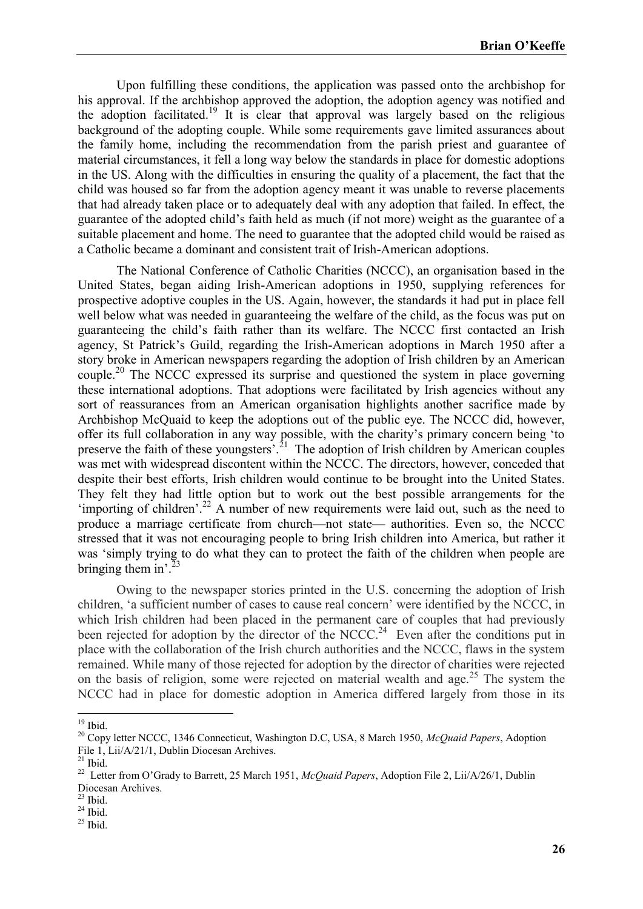Upon fulfilling these conditions, the application was passed onto the archbishop for his approval. If the archbishop approved the adoption, the adoption agency was notified and the adoption facilitated.<sup>19</sup> It is clear that approval was largely based on the religious background of the adopting couple. While some requirements gave limited assurances about the family home, including the recommendation from the parish priest and guarantee of material circumstances, it fell a long way below the standards in place for domestic adoptions in the US. Along with the difficulties in ensuring the quality of a placement, the fact that the child was housed so far from the adoption agency meant it was unable to reverse placements that had already taken place or to adequately deal with any adoption that failed. In effect, the guarantee of the adopted child's faith held as much (if not more) weight as the guarantee of a suitable placement and home. The need to guarantee that the adopted child would be raised as a Catholic became a dominant and consistent trait of Irish-American adoptions.

The National Conference of Catholic Charities (NCCC), an organisation based in the United States, began aiding Irish-American adoptions in 1950, supplying references for prospective adoptive couples in the US. Again, however, the standards it had put in place fell well below what was needed in guaranteeing the welfare of the child, as the focus was put on guaranteeing the child's faith rather than its welfare. The NCCC first contacted an Irish agency, St Patrick's Guild, regarding the Irish-American adoptions in March 1950 after a story broke in American newspapers regarding the adoption of Irish children by an American couple.<sup>20</sup> The NCCC expressed its surprise and questioned the system in place governing these international adoptions. That adoptions were facilitated by Irish agencies without any sort of reassurances from an American organisation highlights another sacrifice made by Archbishop McQuaid to keep the adoptions out of the public eye. The NCCC did, however, offer its full collaboration in any way possible, with the charity's primary concern being 'to preserve the faith of these youngsters'.<sup>21</sup> The adoption of Irish children by American couples was met with widespread discontent within the NCCC. The directors, however, conceded that despite their best efforts, Irish children would continue to be brought into the United States. They felt they had little option but to work out the best possible arrangements for the 'importing of children'.<sup>22</sup> A number of new requirements were laid out, such as the need to produce a marriage certificate from church—not state— authorities. Even so, the NCCC stressed that it was not encouraging people to bring Irish children into America, but rather it was 'simply trying to do what they can to protect the faith of the children when people are bringing them in'. $^{23}$ 

Owing to the newspaper stories printed in the U.S. concerning the adoption of Irish children, 'a sufficient number of cases to cause real concern' were identified by the NCCC, in which Irish children had been placed in the permanent care of couples that had previously been rejected for adoption by the director of the NCCC.<sup>24</sup> Even after the conditions put in place with the collaboration of the Irish church authorities and the NCCC, flaws in the system remained. While many of those rejected for adoption by the director of charities were rejected on the basis of religion, some were rejected on material wealth and age.<sup>25</sup> The system the NCCC had in place for domestic adoption in America differed largely from those in its

 $\overline{a}$ 

 $19$  Ibid.

<sup>20</sup> Copy letter NCCC, 1346 Connecticut, Washington D.C, USA, 8 March 1950, *McQuaid Papers*, Adoption File 1, Lii/A/21/1, Dublin Diocesan Archives.

 $^{21}$  Ibid.

<sup>22</sup> Letter from O'Grady to Barrett, 25 March 1951, *McQuaid Papers*, Adoption File 2, Lii/A/26/1, Dublin Diocesan Archives.

 $23$  Ibid.

 $^{24}$  Ibid.

 $25$  Ibid.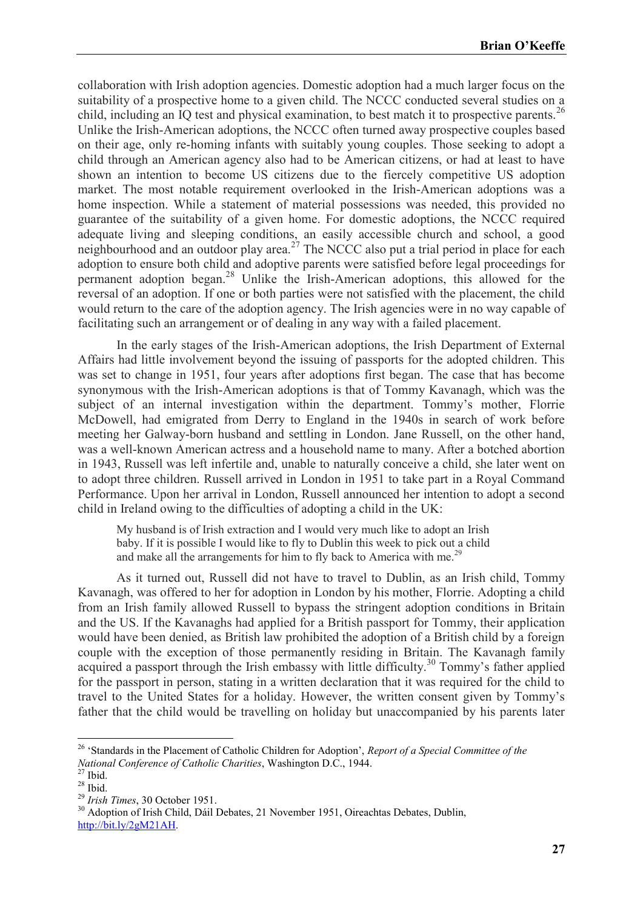collaboration with Irish adoption agencies. Domestic adoption had a much larger focus on the suitability of a prospective home to a given child. The NCCC conducted several studies on a child, including an  $\overline{IQ}$  test and physical examination, to best match it to prospective parents.<sup>26</sup> Unlike the Irish-American adoptions, the NCCC often turned away prospective couples based on their age, only re-homing infants with suitably young couples. Those seeking to adopt a child through an American agency also had to be American citizens, or had at least to have shown an intention to become US citizens due to the fiercely competitive US adoption market. The most notable requirement overlooked in the Irish-American adoptions was a home inspection. While a statement of material possessions was needed, this provided no guarantee of the suitability of a given home. For domestic adoptions, the NCCC required adequate living and sleeping conditions, an easily accessible church and school, a good neighbourhood and an outdoor play area.<sup>27</sup> The NCCC also put a trial period in place for each adoption to ensure both child and adoptive parents were satisfied before legal proceedings for permanent adoption began.<sup>28</sup> Unlike the Irish-American adoptions, this allowed for the reversal of an adoption. If one or both parties were not satisfied with the placement, the child would return to the care of the adoption agency. The Irish agencies were in no way capable of facilitating such an arrangement or of dealing in any way with a failed placement.

In the early stages of the Irish-American adoptions, the Irish Department of External Affairs had little involvement beyond the issuing of passports for the adopted children. This was set to change in 1951, four years after adoptions first began. The case that has become synonymous with the Irish-American adoptions is that of Tommy Kavanagh, which was the subject of an internal investigation within the department. Tommy's mother, Florrie McDowell, had emigrated from Derry to England in the 1940s in search of work before meeting her Galway-born husband and settling in London. Jane Russell, on the other hand, was a well-known American actress and a household name to many. After a botched abortion in 1943, Russell was left infertile and, unable to naturally conceive a child, she later went on to adopt three children. Russell arrived in London in 1951 to take part in a Royal Command Performance. Upon her arrival in London, Russell announced her intention to adopt a second child in Ireland owing to the difficulties of adopting a child in the UK:

My husband is of Irish extraction and I would very much like to adopt an Irish baby. If it is possible I would like to fly to Dublin this week to pick out a child and make all the arrangements for him to fly back to America with me.<sup>29</sup>

As it turned out, Russell did not have to travel to Dublin, as an Irish child, Tommy Kavanagh, was offered to her for adoption in London by his mother, Florrie. Adopting a child from an Irish family allowed Russell to bypass the stringent adoption conditions in Britain and the US. If the Kavanaghs had applied for a British passport for Tommy, their application would have been denied, as British law prohibited the adoption of a British child by a foreign couple with the exception of those permanently residing in Britain. The Kavanagh family acquired a passport through the Irish embassy with little difficulty.<sup>30</sup> Tommy's father applied for the passport in person, stating in a written declaration that it was required for the child to travel to the United States for a holiday. However, the written consent given by Tommy's father that the child would be travelling on holiday but unaccompanied by his parents later

**.** 

<sup>26</sup> 'Standards in the Placement of Catholic Children for Adoption', *Report of a Special Committee of the National Conference of Catholic Charities*, Washington D.C., 1944.

 $^{27}$  Ibid.

 $28$  Ibid.

<sup>29</sup> *Irish Times*, 30 October 1951.

<sup>&</sup>lt;sup>30</sup> Adoption of Irish Child, Dáil Debates, 21 November 1951, Oireachtas Debates, Dublin, [http://bit.ly/2gM21AH.](http://bit.ly/2gM21AH)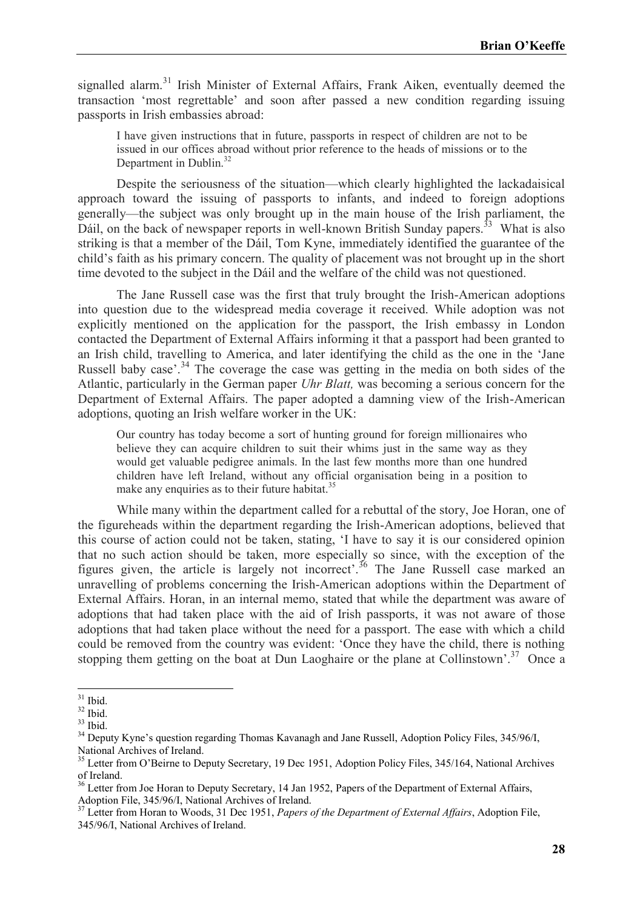signalled alarm.<sup>31</sup> Irish Minister of External Affairs, Frank Aiken, eventually deemed the transaction 'most regrettable' and soon after passed a new condition regarding issuing passports in Irish embassies abroad:

I have given instructions that in future, passports in respect of children are not to be issued in our offices abroad without prior reference to the heads of missions or to the Department in Dublin.<sup>32</sup>

Despite the seriousness of the situation—which clearly highlighted the lackadaisical approach toward the issuing of passports to infants, and indeed to foreign adoptions generally—the subject was only brought up in the main house of the Irish parliament, the Dáil, on the back of newspaper reports in well-known British Sunday papers.<sup>33</sup> What is also striking is that a member of the Dáil, Tom Kyne, immediately identified the guarantee of the child's faith as his primary concern. The quality of placement was not brought up in the short time devoted to the subject in the Dáil and the welfare of the child was not questioned.

The Jane Russell case was the first that truly brought the Irish-American adoptions into question due to the widespread media coverage it received. While adoption was not explicitly mentioned on the application for the passport, the Irish embassy in London contacted the Department of External Affairs informing it that a passport had been granted to an Irish child, travelling to America, and later identifying the child as the one in the 'Jane Russell baby case'.<sup>34</sup> The coverage the case was getting in the media on both sides of the Atlantic, particularly in the German paper *Uhr Blatt,* was becoming a serious concern for the Department of External Affairs. The paper adopted a damning view of the Irish-American adoptions, quoting an Irish welfare worker in the UK:

Our country has today become a sort of hunting ground for foreign millionaires who believe they can acquire children to suit their whims just in the same way as they would get valuable pedigree animals. In the last few months more than one hundred children have left Ireland, without any official organisation being in a position to make any enquiries as to their future habitat.<sup>35</sup>

While many within the department called for a rebuttal of the story, Joe Horan, one of the figureheads within the department regarding the Irish-American adoptions, believed that this course of action could not be taken, stating, 'I have to say it is our considered opinion that no such action should be taken, more especially so since, with the exception of the figures given, the article is largely not incorrect'.<sup>36</sup> The Jane Russell case marked an unravelling of problems concerning the Irish-American adoptions within the Department of External Affairs. Horan, in an internal memo, stated that while the department was aware of adoptions that had taken place with the aid of Irish passports, it was not aware of those adoptions that had taken place without the need for a passport. The ease with which a child could be removed from the country was evident: 'Once they have the child, there is nothing stopping them getting on the boat at Dun Laoghaire or the plane at Collinstown'.<sup>37</sup> Once a

**<sup>.</sup>**  $31$  Ibid.

 $32$  Ibid.

<sup>33</sup> Ibid.

<sup>&</sup>lt;sup>34</sup> Deputy Kyne's question regarding Thomas Kavanagh and Jane Russell, Adoption Policy Files, 345/96/I, National Archives of Ireland.

<sup>&</sup>lt;sup>35</sup> Letter from O'Beirne to Deputy Secretary, 19 Dec 1951, Adoption Policy Files, 345/164, National Archives of Ireland.

<sup>&</sup>lt;sup>36</sup> Letter from Joe Horan to Deputy Secretary, 14 Jan 1952, Papers of the Department of External Affairs, Adoption File, 345/96/I, National Archives of Ireland.

<sup>37</sup> Letter from Horan to Woods, 31 Dec 1951, *Papers of the Department of External Affairs*, Adoption File, 345/96/I, National Archives of Ireland.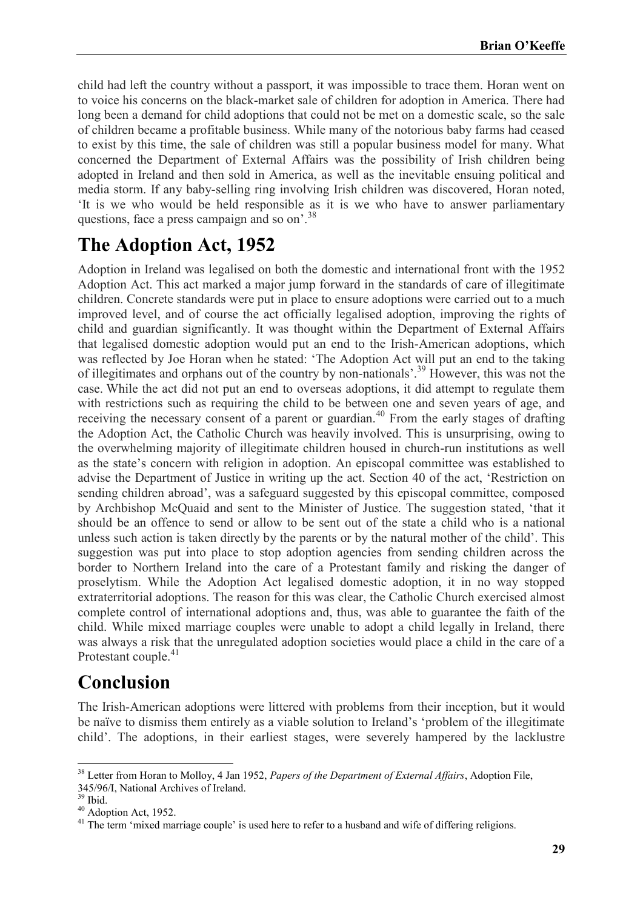child had left the country without a passport, it was impossible to trace them. Horan went on to voice his concerns on the black-market sale of children for adoption in America. There had long been a demand for child adoptions that could not be met on a domestic scale, so the sale of children became a profitable business. While many of the notorious baby farms had ceased to exist by this time, the sale of children was still a popular business model for many. What concerned the Department of External Affairs was the possibility of Irish children being adopted in Ireland and then sold in America, as well as the inevitable ensuing political and media storm. If any baby-selling ring involving Irish children was discovered, Horan noted, 'It is we who would be held responsible as it is we who have to answer parliamentary questions, face a press campaign and so on'.<sup>38</sup>

### **The Adoption Act, 1952**

Adoption in Ireland was legalised on both the domestic and international front with the 1952 Adoption Act. This act marked a major jump forward in the standards of care of illegitimate children. Concrete standards were put in place to ensure adoptions were carried out to a much improved level, and of course the act officially legalised adoption, improving the rights of child and guardian significantly. It was thought within the Department of External Affairs that legalised domestic adoption would put an end to the Irish-American adoptions, which was reflected by Joe Horan when he stated: 'The Adoption Act will put an end to the taking of illegitimates and orphans out of the country by non-nationals'.<sup>39</sup> However, this was not the case. While the act did not put an end to overseas adoptions, it did attempt to regulate them with restrictions such as requiring the child to be between one and seven years of age, and receiving the necessary consent of a parent or guardian.<sup>40</sup> From the early stages of drafting the Adoption Act, the Catholic Church was heavily involved. This is unsurprising, owing to the overwhelming majority of illegitimate children housed in church-run institutions as well as the state's concern with religion in adoption. An episcopal committee was established to advise the Department of Justice in writing up the act. Section 40 of the act, 'Restriction on sending children abroad', was a safeguard suggested by this episcopal committee, composed by Archbishop McQuaid and sent to the Minister of Justice. The suggestion stated, 'that it should be an offence to send or allow to be sent out of the state a child who is a national unless such action is taken directly by the parents or by the natural mother of the child'. This suggestion was put into place to stop adoption agencies from sending children across the border to Northern Ireland into the care of a Protestant family and risking the danger of proselytism. While the Adoption Act legalised domestic adoption, it in no way stopped extraterritorial adoptions. The reason for this was clear, the Catholic Church exercised almost complete control of international adoptions and, thus, was able to guarantee the faith of the child. While mixed marriage couples were unable to adopt a child legally in Ireland, there was always a risk that the unregulated adoption societies would place a child in the care of a Protestant couple.<sup>41</sup>

### **Conclusion**

The Irish-American adoptions were littered with problems from their inception, but it would be naïve to dismiss them entirely as a viable solution to Ireland's 'problem of the illegitimate child'. The adoptions, in their earliest stages, were severely hampered by the lacklustre

**<sup>.</sup>** <sup>38</sup> Letter from Horan to Molloy, 4 Jan 1952, *Papers of the Department of External Affairs*, Adoption File, 345/96/I, National Archives of Ireland.

<sup>39</sup> Ibid.

 $40$  Adoption Act, 1952.

<sup>&</sup>lt;sup>41</sup> The term 'mixed marriage couple' is used here to refer to a husband and wife of differing religions.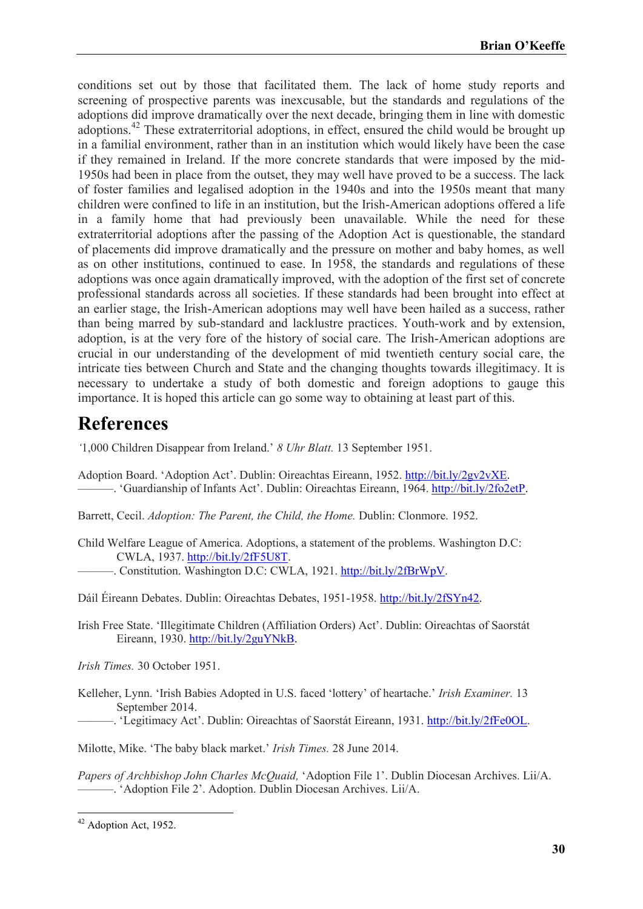conditions set out by those that facilitated them. The lack of home study reports and screening of prospective parents was inexcusable, but the standards and regulations of the adoptions did improve dramatically over the next decade, bringing them in line with domestic adoptions.<sup>42</sup> These extraterritorial adoptions, in effect, ensured the child would be brought up in a familial environment, rather than in an institution which would likely have been the case if they remained in Ireland. If the more concrete standards that were imposed by the mid-1950s had been in place from the outset, they may well have proved to be a success. The lack of foster families and legalised adoption in the 1940s and into the 1950s meant that many children were confined to life in an institution, but the Irish-American adoptions offered a life in a family home that had previously been unavailable. While the need for these extraterritorial adoptions after the passing of the Adoption Act is questionable, the standard of placements did improve dramatically and the pressure on mother and baby homes, as well as on other institutions, continued to ease. In 1958, the standards and regulations of these adoptions was once again dramatically improved, with the adoption of the first set of concrete professional standards across all societies. If these standards had been brought into effect at an earlier stage, the Irish-American adoptions may well have been hailed as a success, rather than being marred by sub-standard and lacklustre practices. Youth-work and by extension, adoption, is at the very fore of the history of social care. The Irish-American adoptions are crucial in our understanding of the development of mid twentieth century social care, the intricate ties between Church and State and the changing thoughts towards illegitimacy. It is necessary to undertake a study of both domestic and foreign adoptions to gauge this importance. It is hoped this article can go some way to obtaining at least part of this.

#### **References**

*'*1,000 Children Disappear from Ireland.' *8 Uhr Blatt.* 13 September 1951.

Adoption Board. 'Adoption Act'. Dublin: Oireachtas Eireann, 1952. [http://bit.ly/2gv2vXE.](http://bit.ly/2gv2vXE) ———. 'Guardianship of Infants Act'. Dublin: Oireachtas Eireann, 1964. [http://bit.ly/2fo2etP.](http://bit.ly/2fo2etP)

Barrett, Cecil. *Adoption: The Parent, the Child, the Home.* Dublin: Clonmore. 1952.

- Child Welfare League of America. Adoptions, a statement of the problems. Washington D.C: CWLA, 1937. [http://bit.ly/2fF5U8T.](http://bit.ly/2fF5U8T)
- -. Constitution. Washington D.C: CWLA, 1921. [http://bit.ly/2fBrWpV.](http://bit.ly/2fBrWpV)

Dáil Éireann Debates. Dublin: Oireachtas Debates, 1951-1958. [http://bit.ly/2fSYn42.](http://bit.ly/2fSYn42)

Irish Free State. 'Illegitimate Children (Affiliation Orders) Act'. Dublin: Oireachtas of Saorstát Eireann, 1930. [http://bit.ly/2guYNkB.](http://bit.ly/2guYNkB)

*Irish Times.* 30 October 1951.

Kelleher, Lynn. 'Irish Babies Adopted in U.S. faced 'lottery' of heartache.' *Irish Examiner.* 13 September 2014.

-. 'Legitimacy Act'. Dublin: Oireachtas of Saorstát Eireann, 1931. [http://bit.ly/2fFe0OL.](http://bit.ly/2fFe0OL)

Milotte, Mike. 'The baby black market.' *Irish Times.* 28 June 2014.

*Papers of Archbishop John Charles McQuaid,* 'Adoption File 1'. Dublin Diocesan Archives. Lii/A. ———. 'Adoption File 2'. Adoption. Dublin Diocesan Archives. Lii/A.

**.** 

<sup>&</sup>lt;sup>42</sup> Adoption Act, 1952.